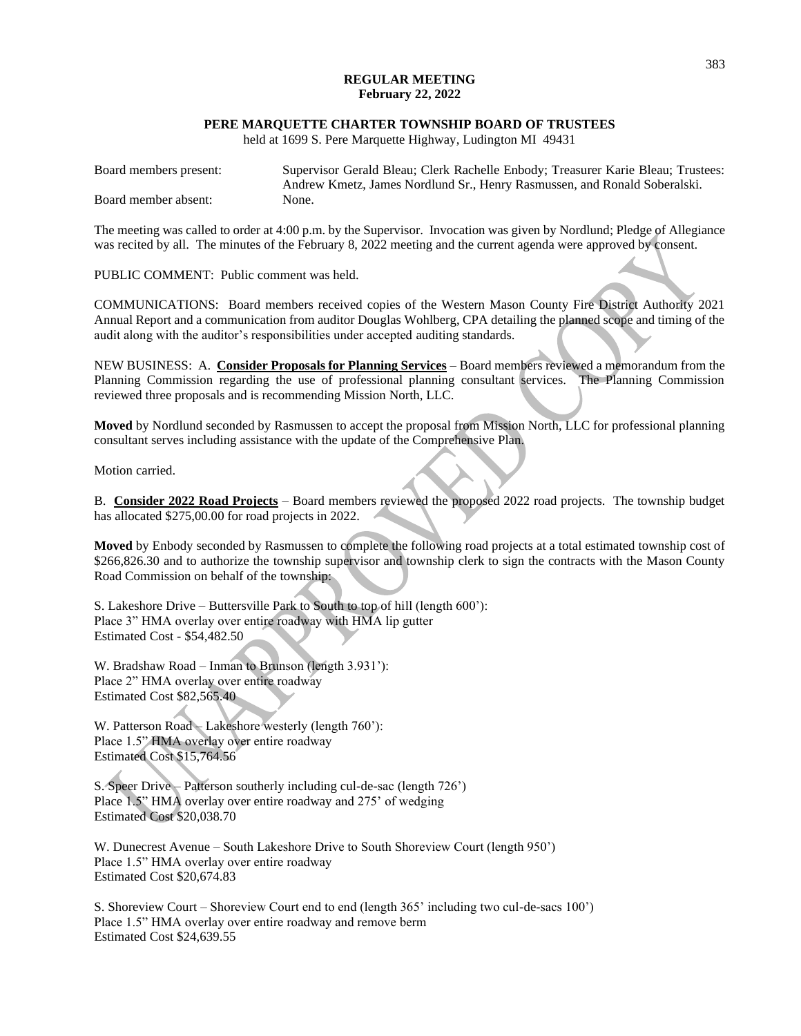## **REGULAR MEETING February 22, 2022**

## **PERE MARQUETTE CHARTER TOWNSHIP BOARD OF TRUSTEES**

held at 1699 S. Pere Marquette Highway, Ludington MI 49431

| Board members present: | Supervisor Gerald Bleau; Clerk Rachelle Enbody; Treasurer Karie Bleau; Trustees: |
|------------------------|----------------------------------------------------------------------------------|
|                        | Andrew Kmetz, James Nordlund Sr., Henry Rasmussen, and Ronald Soberalski.        |
| Board member absent:   | None.                                                                            |

The meeting was called to order at 4:00 p.m. by the Supervisor. Invocation was given by Nordlund; Pledge of Allegiance was recited by all. The minutes of the February 8, 2022 meeting and the current agenda were approved by consent.

PUBLIC COMMENT: Public comment was held.

COMMUNICATIONS: Board members received copies of the Western Mason County Fire District Authority 2021 Annual Report and a communication from auditor Douglas Wohlberg, CPA detailing the planned scope and timing of the audit along with the auditor's responsibilities under accepted auditing standards.

NEW BUSINESS: A. **Consider Proposals for Planning Services** – Board members reviewed a memorandum from the Planning Commission regarding the use of professional planning consultant services. The Planning Commission reviewed three proposals and is recommending Mission North, LLC.

**Moved** by Nordlund seconded by Rasmussen to accept the proposal from Mission North, LLC for professional planning consultant serves including assistance with the update of the Comprehensive Plan.

Motion carried.

B. **Consider 2022 Road Projects** – Board members reviewed the proposed 2022 road projects. The township budget has allocated \$275,00.00 for road projects in 2022.

**Moved** by Enbody seconded by Rasmussen to complete the following road projects at a total estimated township cost of \$266,826.30 and to authorize the township supervisor and township clerk to sign the contracts with the Mason County Road Commission on behalf of the township:

S. Lakeshore Drive – Buttersville Park to South to top of hill (length 600'): Place 3" HMA overlay over entire roadway with HMA lip gutter Estimated Cost - \$54,482.50

W. Bradshaw Road – Inman to Brunson (length 3.931'): Place 2" HMA overlay over entire roadway Estimated Cost \$82,565.40

W. Patterson Road – Lakeshore westerly (length 760'): Place 1.5" HMA overlay over entire roadway Estimated Cost \$15,764.56

S. Speer Drive – Patterson southerly including cul-de-sac (length 726') Place 1.5" HMA overlay over entire roadway and 275' of wedging Estimated Cost \$20,038.70

W. Dunecrest Avenue – South Lakeshore Drive to South Shoreview Court (length 950') Place 1.5" HMA overlay over entire roadway Estimated Cost \$20,674.83

S. Shoreview Court – Shoreview Court end to end (length 365' including two cul-de-sacs 100') Place 1.5" HMA overlay over entire roadway and remove berm Estimated Cost \$24,639.55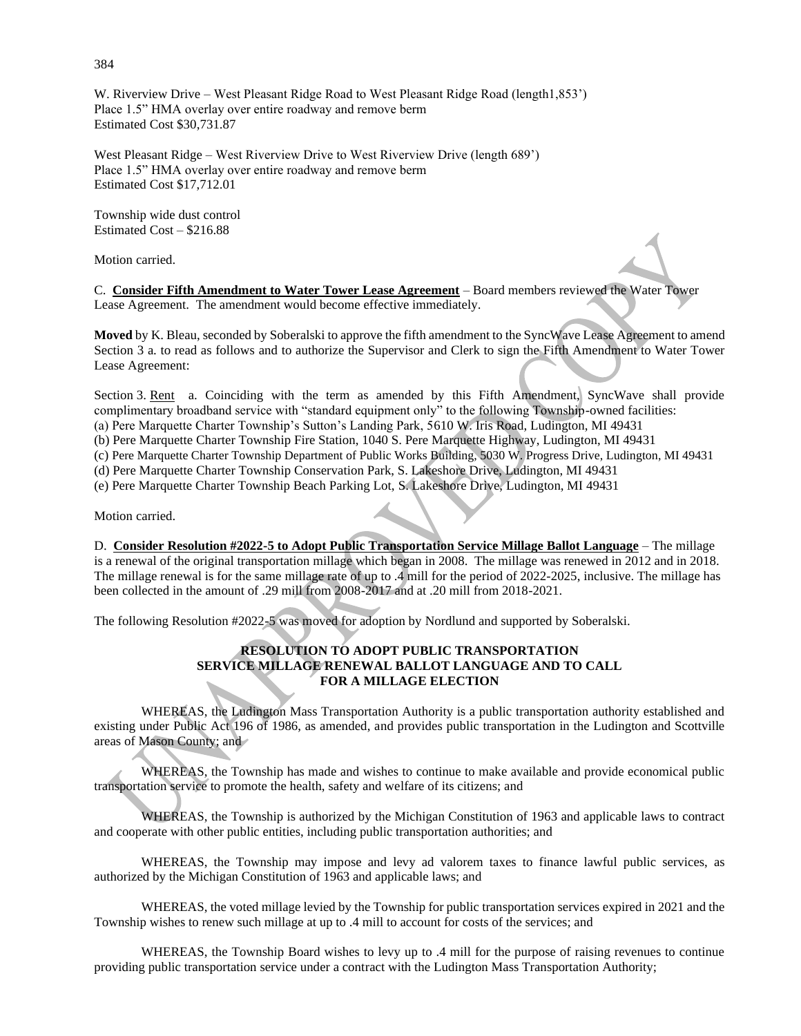W. Riverview Drive – West Pleasant Ridge Road to West Pleasant Ridge Road (length1,853') Place 1.5" HMA overlay over entire roadway and remove berm Estimated Cost \$30,731.87

West Pleasant Ridge – West Riverview Drive to West Riverview Drive (length 689') Place 1.5" HMA overlay over entire roadway and remove berm Estimated Cost \$17,712.01

Township wide dust control Estimated Cost – \$216.88

Motion carried.

C. **Consider Fifth Amendment to Water Tower Lease Agreement** – Board members reviewed the Water Tower Lease Agreement. The amendment would become effective immediately.

**Moved** by K. Bleau, seconded by Soberalski to approve the fifth amendment to the SyncWave Lease Agreement to amend Section 3 a. to read as follows and to authorize the Supervisor and Clerk to sign the Fifth Amendment to Water Tower Lease Agreement:

Section 3. Rent a. Coinciding with the term as amended by this Fifth Amendment, SyncWave shall provide complimentary broadband service with "standard equipment only" to the following Township-owned facilities: (a) Pere Marquette Charter Township's Sutton's Landing Park, 5610 W. Iris Road, Ludington, MI 49431

(b) Pere Marquette Charter Township Fire Station, 1040 S. Pere Marquette Highway, Ludington, MI 49431

(c) Pere Marquette Charter Township Department of Public Works Building, 5030 W. Progress Drive, Ludington, MI 49431

(d) Pere Marquette Charter Township Conservation Park, S. Lakeshore Drive, Ludington, MI 49431

(e) Pere Marquette Charter Township Beach Parking Lot, S. Lakeshore Drive, Ludington, MI 49431

Motion carried.

D. **Consider Resolution #2022-5 to Adopt Public Transportation Service Millage Ballot Language** – The millage is a renewal of the original transportation millage which began in 2008. The millage was renewed in 2012 and in 2018. The millage renewal is for the same millage rate of up to .4 mill for the period of 2022-2025, inclusive. The millage has been collected in the amount of .29 mill from 2008-2017 and at .20 mill from 2018-2021.

The following Resolution #2022-5 was moved for adoption by Nordlund and supported by Soberalski.

# **RESOLUTION TO ADOPT PUBLIC TRANSPORTATION SERVICE MILLAGE RENEWAL BALLOT LANGUAGE AND TO CALL FOR A MILLAGE ELECTION**

WHEREAS, the Ludington Mass Transportation Authority is a public transportation authority established and existing under Public Act 196 of 1986, as amended, and provides public transportation in the Ludington and Scottville areas of Mason County; and

WHEREAS, the Township has made and wishes to continue to make available and provide economical public transportation service to promote the health, safety and welfare of its citizens; and

WHEREAS, the Township is authorized by the Michigan Constitution of 1963 and applicable laws to contract and cooperate with other public entities, including public transportation authorities; and

WHEREAS, the Township may impose and levy ad valorem taxes to finance lawful public services, as authorized by the Michigan Constitution of 1963 and applicable laws; and

WHEREAS, the voted millage levied by the Township for public transportation services expired in 2021 and the Township wishes to renew such millage at up to .4 mill to account for costs of the services; and

WHEREAS, the Township Board wishes to levy up to .4 mill for the purpose of raising revenues to continue providing public transportation service under a contract with the Ludington Mass Transportation Authority;

384